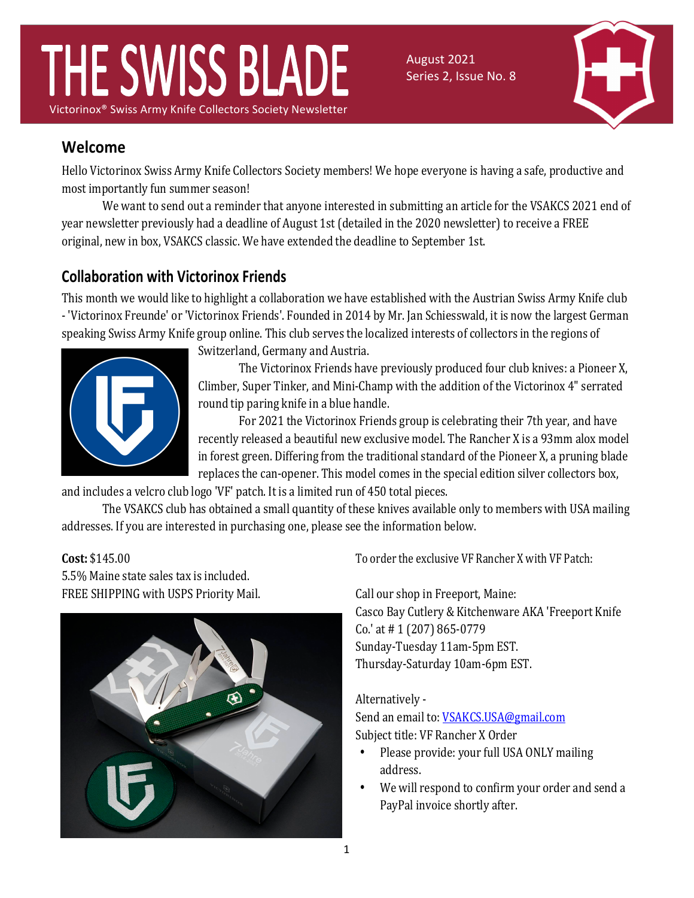# THE SWISS BLADE Victorinox<sup>®</sup> Swiss Army Knife Collectors Society Newsletter

August 2021 Series 2, Issue No. 8



# **Welcome**

Hello Victorinox Swiss Army Knife Collectors Society members! We hope everyone is having a safe, productive and most importantly fun summer season!

We want to send out a reminder that anyone interested in submitting an article for the VSAKCS 2021 end of year newsletter previously had a deadline of August 1st (detailed in the 2020 newsletter) to receive a FREE original, new in box, VSAKCS classic. We have extended the deadline to September 1st.

# **Collaboration with Victorinox Friends**

This month we would like to highlight a collaboration we have established with the Austrian Swiss Army Knife club - 'Victorinox Freunde' or 'Victorinox Friends'. Founded in 2014 by Mr. Jan Schiesswald, it is now the largest German speaking Swiss Army Knife group online. This club serves the localized interests of collectors in the regions of



Switzerland, Germany and Austria.

The Victorinox Friends have previously produced four club knives: a Pioneer X, Climber, Super Tinker, and Mini-Champ with the addition of the Victorinox 4" serrated round tip paring knife in a blue handle.

For 2021 the Victorinox Friends group is celebrating their 7th year, and have recently released a beautiful new exclusive model. The Rancher X is a 93mm alox model in forest green. Differing from the traditional standard of the Pioneer X, a pruning blade replaces the can-opener. This model comes in the special edition silver collectors box,

and includes a velcro club logo 'VF' patch. It is a limited run of 450 total pieces.

The VSAKCS club has obtained a small quantity of these knives available only to members with USA mailing addresses. If you are interested in purchasing one, please see the information below.

#### **Cost:** \$145.00

5.5% Maine state sales tax is included. FREE SHIPPING with USPS Priority Mail.



To order the exclusive VF Rancher X with VF Patch:

Call our shop in Freeport, Maine: Casco Bay Cutlery & Kitchenware AKA 'Freeport Knife Co.' at # 1 (207) 865-0779 Sunday-Tuesday 11am-5pm EST. Thursday-Saturday 10am-6pm EST.

#### Alternatively -

Send an email to: **VSAKCS.USA@gmail.com** Subject title: VF Rancher X Order

- Please provide: your full USA ONLY mailing address.
- We will respond to confirm your order and send a PayPal invoice shortly after.